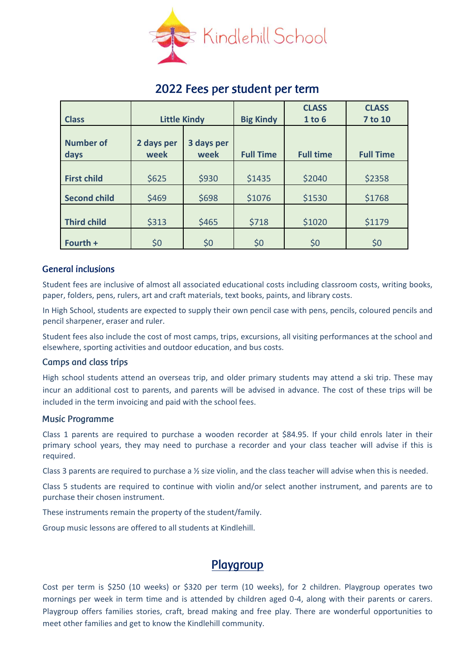

| <b>Class</b>             | <b>Little Kindy</b> |                    | <b>Big Kindy</b> | <b>CLASS</b><br>1 to 6 | <b>CLASS</b><br>7 to 10 |
|--------------------------|---------------------|--------------------|------------------|------------------------|-------------------------|
| <b>Number of</b><br>days | 2 days per<br>week  | 3 days per<br>week | <b>Full Time</b> | <b>Full time</b>       | <b>Full Time</b>        |
| <b>First child</b>       | \$625               | \$930              | \$1435           | \$2040                 | \$2358                  |
| <b>Second child</b>      | \$469               | \$698              | \$1076           | \$1530                 | \$1768                  |
| <b>Third child</b>       | \$313               | \$465              | \$718            | \$1020                 | \$1179                  |
| Fourth +                 | \$0                 | \$0                | \$0              | \$0                    | \$0                     |

# **2022 Fees per student per term**

## **General inclusions**

Student fees are inclusive of almost all associated educational costs including classroom costs, writing books, paper, folders, pens, rulers, art and craft materials, text books, paints, and library costs.

In High School, students are expected to supply their own pencil case with pens, pencils, coloured pencils and pencil sharpener, eraser and ruler.

Student fees also include the cost of most camps, trips, excursions, all visiting performances at the school and elsewhere, sporting activities and outdoor education, and bus costs.

## **Camps and class trips**

High school students attend an overseas trip, and older primary students may attend a ski trip. These may incur an additional cost to parents, and parents will be advised in advance. The cost of these trips will be included in the term invoicing and paid with the school fees.

#### **Music Programme**

Class 1 parents are required to purchase a wooden recorder at \$84.95. If your child enrols later in their primary school years, they may need to purchase a recorder and your class teacher will advise if this is required.

Class 3 parents are required to purchase a  $\frac{1}{2}$  size violin, and the class teacher will advise when this is needed.

Class 5 students are required to continue with violin and/or select another instrument, and parents are to purchase their chosen instrument.

These instruments remain the property of the student/family.

Group music lessons are offered to all students at Kindlehill.

# **Playgroup**

Cost per term is \$250 (10 weeks) or \$320 per term (10 weeks), for 2 children. Playgroup operates two mornings per week in term time and is attended by children aged 0-4, along with their parents or carers. Playgroup offers families stories, craft, bread making and free play. There are wonderful opportunities to meet other families and get to know the Kindlehill community.